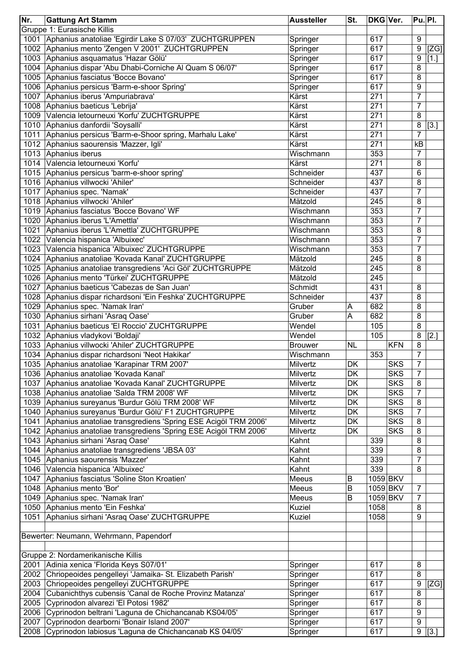| Nr.  | <b>Gattung Art Stamm</b>                                                                               | <b>Aussteller</b> | St.       | <b>DKG Ver.</b>  |            |                | Pu. Pl.             |
|------|--------------------------------------------------------------------------------------------------------|-------------------|-----------|------------------|------------|----------------|---------------------|
|      | Gruppe 1: Eurasische Killis                                                                            |                   |           |                  |            |                |                     |
|      | 1001 Aphanius anatoliae 'Egirdir Lake S 07/03' ZUCHTGRUPPEN                                            | Springer          |           | 617              |            | 9              |                     |
|      | 1002 Aphanius mento 'Zengen V 2001' ZUCHTGRUPPEN                                                       | Springer          |           | 617              |            | 9              | [ZG]                |
|      | 1003 Aphanius asquamatus 'Hazar Gölü'                                                                  | Springer          |           | 617              |            | 9              | $[1.]$              |
|      | 1004 Aphanius dispar 'Abu Dhabi-Corniche Al Quam S 06/07'                                              | Springer          |           | $61\overline{7}$ |            | 8              |                     |
|      | 1005 Aphanius fasciatus 'Bocce Bovano'                                                                 | Springer          |           | 617              |            | 8              |                     |
|      | 1006 Aphanius persicus 'Barm-e-shoor Spring'                                                           | Springer          |           | 617              |            | 9              |                     |
|      | 1007 Aphanius iberus 'Ampuriabrava'                                                                    | Kärst             |           | 271              |            | $\overline{7}$ |                     |
|      | 1008 Aphanius baeticus 'Lebrija'                                                                       | Kärst             |           | 271              |            | $\overline{7}$ |                     |
|      | 1009 Valencia letourneuxi 'Korfu' ZUCHTGRUPPE                                                          | Kärst             |           | 271              |            | 8              |                     |
|      | 1010 Aphanius danfordii 'Soysalli'                                                                     | Kärst             |           | 271              |            | 8              | [3.]                |
|      | 1011 Aphanius persicus 'Barm-e-Shoor spring, Marhalu Lake'                                             | Kärst             |           | 271              |            | $\overline{7}$ |                     |
|      | 1012 Aphanius saourensis 'Mazzer, Igli'                                                                | Kärst             |           | 271              |            | kB             |                     |
|      | 1013 Aphanius iberus                                                                                   | Wischmann         |           | 353              |            | $\overline{7}$ |                     |
|      | 1014 Valencia letourneuxi 'Korfu'                                                                      | Kärst             |           | 271              |            | 8              |                     |
|      | 1015 Aphanius persicus 'barm-e-shoor spring'                                                           | Schneider         |           | 437              |            | 6              |                     |
|      | 1016 Aphanius villwocki 'Ahiler'                                                                       | Schneider         |           | 437              |            | 8              |                     |
| 1017 | Aphanius spec. 'Namak'                                                                                 | Schneider         |           | 437              |            | $\overline{7}$ |                     |
|      | 1018 Aphanius villwocki 'Ahiler'                                                                       | Mätzold           |           | 245              |            | 8              |                     |
|      | 1019 Aphanius fasciatus 'Bocce Bovano' WF                                                              | Wischmann         |           | 353              |            | $\overline{7}$ |                     |
|      | 1020 Aphanius iberus 'L'Amettla'                                                                       | Wischmann         |           | 353              |            | 7              |                     |
|      | 1021 Aphanius iberus 'L'Amettla' ZUCHTGRUPPE                                                           | Wischmann         |           | 353              |            | 8              |                     |
|      | 1022 Valencia hispanica 'Albuixec'                                                                     | Wischmann         |           | 353              |            | 7              |                     |
|      | 1023 Valencia hispanica 'Albuixec' ZUCHTGRUPPE                                                         | Wischmann         |           | 353              |            | $\overline{7}$ |                     |
|      | 1024 Aphanius anatoliae 'Kovada Kanal' ZUCHTGRUPPE                                                     | Mätzold           |           | 245              |            | 8              |                     |
|      | 1025 Aphanius anatoliae transgrediens 'Aci Göl' ZUCHTGRUPPE                                            | Mätzold           |           | 245              |            | 8              |                     |
|      | 1026 Aphanius mento 'Türkei' ZUCHTGRUPPE                                                               | Mätzold           |           | 245              |            |                |                     |
|      | 1027 Aphanius baeticus 'Cabezas de San Juan'                                                           | Schmidt           |           | 431              |            | 8              |                     |
|      | 1028 Aphanius dispar richardsoni 'Ein Feshka' ZUCHTGRUPPE                                              | Schneider         |           | 437              |            | 8              |                     |
|      | 1029 Aphanius spec. 'Namak Iran'                                                                       | Gruber            | Α         | 682              |            | 8              |                     |
|      | 1030 Aphanius sirhani 'Asraq Oase'                                                                     | Gruber            | Α         | 682              |            | 8              |                     |
|      | 1031 Aphanius baeticus 'El Roccio' ZUCHTGRUPPE                                                         | Wendel            |           | 105              |            | 8              |                     |
|      | 1032 Aphanius vladykovi 'Boldaji'                                                                      | Wendel            |           | 105              |            | 8              | [2.]                |
|      | 1033 Aphanius villwocki 'Ahiler' ZUCHTGRUPPE                                                           | <b>Brouwer</b>    | <b>NL</b> |                  | <b>KFN</b> | 8              |                     |
|      | 1034 Aphanius dispar richardsoni 'Neot Hakikar'                                                        | Wischmann         |           | 353              |            | 7              |                     |
|      | 1035 Aphanius anatoliae 'Karapinar TRM 2007'                                                           | Milvertz          | DK        |                  | <b>SKS</b> | <sup>'</sup>   |                     |
|      | 1036 Aphanius anatoliae 'Kovada Kanal'                                                                 | Milvertz          | DK        |                  | <b>SKS</b> | $\overline{7}$ |                     |
|      | 1037 Aphanius anatoliae 'Kovada Kanal' ZUCHTGRUPPE                                                     | Milvertz          | DK        |                  | <b>SKS</b> | 8              |                     |
|      | 1038 Aphanius anatoliae 'Salda TRM 2008' WF                                                            | Milvertz          | DK        |                  | <b>SKS</b> | 7              |                     |
|      | 1039 Aphanius sureyanus 'Burdur Gölü TRM 2008' WF                                                      | Milvertz          | DK        |                  | <b>SKS</b> | 8              |                     |
|      | 1040 Aphanius sureyanus 'Burdur Gölü' F1 ZUCHTGRUPPE                                                   | Milvertz          | DK        |                  | <b>SKS</b> | $\overline{7}$ |                     |
|      | 1041 Aphanius anatoliae transgrediens 'Spring ESE Acigöl TRM 2006'                                     | Milvertz          | DK        |                  | <b>SKS</b> | 8              |                     |
|      | 1042 Aphanius anatoliae transgrediens 'Spring ESE Acigöl TRM 2006'                                     | Milvertz          | DK        |                  | <b>SKS</b> | 8              |                     |
|      | 1043 Aphanius sirhani 'Asraq Oase'                                                                     | Kahnt             |           | 339              |            | 8              |                     |
|      | 1044 Aphanius anatoliae transgrediens 'JBSA 03'                                                        | Kahnt             |           | 339              |            | 8              |                     |
|      | 1045 Aphanius saourensis 'Mazzer'                                                                      | Kahnt             |           | 339              |            | $\overline{7}$ |                     |
|      | 1046 Valencia hispanica 'Albuixec'                                                                     | Kahnt             |           | 339              |            | 8              |                     |
|      | 1047 Aphanius fasciatus 'Soline Ston Kroatien'                                                         | Meeus             | B         |                  | 1059 BKV   |                |                     |
|      | 1048 Aphanius mento 'Bor'                                                                              | Meeus             | B         |                  | 1059 BKV   | 7              |                     |
|      | 1049 Aphanius spec. 'Namak Iran'                                                                       | Meeus             | B         |                  | 1059 BKV   | $\overline{7}$ |                     |
|      | 1050 Aphanius mento 'Ein Feshka'                                                                       | Kuziel            |           | 1058             |            | 8              |                     |
|      | 1051 Aphanius sirhani 'Asraq Oase' ZUCHTGRUPPE                                                         | Kuziel            |           | 1058             |            | 9              |                     |
|      |                                                                                                        |                   |           |                  |            |                |                     |
|      | Bewerter: Neumann, Wehrmann, Papendorf                                                                 |                   |           |                  |            |                |                     |
|      |                                                                                                        |                   |           |                  |            |                |                     |
|      | Gruppe 2: Nordamerikanische Killis                                                                     |                   |           |                  |            |                |                     |
| 2001 | Adinia xenica 'Florida Keys S07/01'                                                                    |                   |           | 617              |            | 8              |                     |
| 2002 |                                                                                                        | Springer          |           | 617              |            | 8              |                     |
|      | Chriopeoides pengelleyi 'Jamaika- St. Elizabeth Parish'<br>2003 Chriopeoides pengelleyi ZUCHTGRUPPE    | Springer          |           | 617              |            |                |                     |
|      |                                                                                                        | Springer          |           | 617              |            | 9<br>8         | [ZG]                |
| 2004 | Cubanichthys cubensis 'Canal de Roche Provinz Matanza'                                                 | Springer          |           | 617              |            | 8              |                     |
|      | 2005 Cyprinodon alvarezi 'El Potosi 1982'                                                              | Springer          |           | 617              |            | 9              |                     |
|      | 2006 Cyprinodon beltrani 'Laguna de Chichancanab KS04/05'<br>Cyprinodon dearborni 'Bonair Island 2007' | Springer          |           |                  |            |                |                     |
| 2007 |                                                                                                        | Springer          |           | 617              |            | 9              |                     |
| 2008 | Cyprinodon labiosus 'Laguna de Chichancanab KS 04/05'                                                  | Springer          |           | 617              |            |                | $\overline{9}$ [3.] |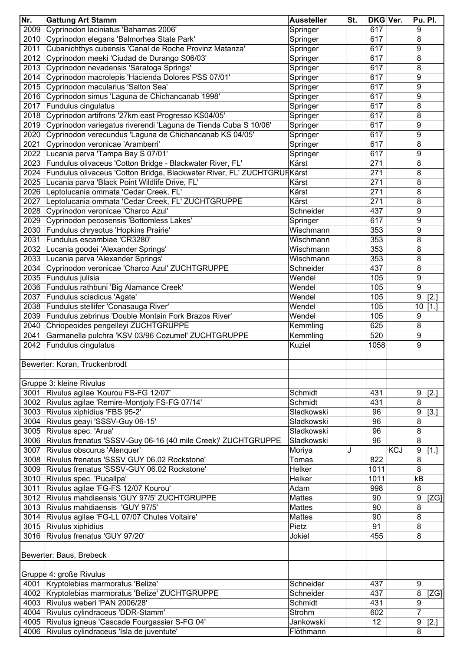| Nr.  | <b>Gattung Art Stamm</b>                                                | <b>Aussteller</b> | St. | DKG Ver. |            | Pu. Pl.          |                      |
|------|-------------------------------------------------------------------------|-------------------|-----|----------|------------|------------------|----------------------|
| 2009 | Cyprinodon laciniatus 'Bahamas 2006'                                    | Springer          |     | 617      |            | 9                |                      |
| 2010 | Cyprinodon elegans 'Balmorhea State Park'                               | Springer          |     | 617      |            | 8                |                      |
| 2011 | Cubanichthys cubensis 'Canal de Roche Provinz Matanza'                  | Springer          |     | 617      |            | 9                |                      |
| 2012 | Cyprinodon meeki 'Ciudad de Durango S06/03'                             | Springer          |     | 617      |            | 8                |                      |
| 2013 | Cyprinodon nevadensis 'Saratoga Springs'                                | Springer          |     | 617      |            | 8                |                      |
| 2014 | Cyprinodon macrolepis 'Hacienda Dolores PSS 07/01'                      | Springer          |     | 617      |            | 9                |                      |
| 2015 | Cyprinodon macularius 'Salton Sea'                                      | Springer          |     | 617      |            | 9                |                      |
| 2016 | Cyprinodon simus 'Laguna de Chichancanab 1998'                          | Springer          |     | 617      |            | 9                |                      |
| 2017 | Fundulus cingulatus                                                     | Springer          |     | 617      |            | 8                |                      |
| 2018 | Cyprinodon artifrons '27km east Progresso KS04/05'                      | Springer          |     | 617      |            | 8                |                      |
| 2019 | Cyprinodon variegatus riverendi 'Laguna de Tienda Cuba S 10/06'         | Springer          |     | 617      |            | 9                |                      |
| 2020 | Cyprinodon verecundus 'Laguna de Chichancanab KS 04/05'                 | Springer          |     | 617      |            | 9                |                      |
| 2021 | Cyprinodon veronicae 'Aramberri'                                        |                   |     | 617      |            | 8                |                      |
|      |                                                                         | Springer          |     | 617      |            | 9                |                      |
| 2022 | Lucania parva 'Tampa Bay S 07/01'                                       | Springer          |     |          |            |                  |                      |
| 2023 | Fundulus olivaceus 'Cotton Bridge - Blackwater River, FL'               | Kärst             |     | 271      |            | 8                |                      |
| 2024 | Fundulus olivaceus 'Cotton Bridge, Blackwater River, FL' ZUCHTGRUFKärst |                   |     | 271      |            | 8                |                      |
| 2025 | Lucania parva 'Black Point Wildlife Drive, FL'                          | Kärst             |     | 271      |            | 8                |                      |
| 2026 | Leptolucania ommata 'Cedar Creek, FL'                                   | Kärst             |     | 271      |            | 8                |                      |
| 2027 | Leptolucania ommata 'Cedar Creek, FL' ZUCHTGRUPPE                       | Kärst             |     | 271      |            | 8                |                      |
| 2028 | Cyprinodon veronicae 'Charco Azul'                                      | Schneider         |     | 437      |            | 9                |                      |
| 2029 | Cyprinodon pecosensis 'Bottomless Lakes'                                | Springer          |     | 617      |            | 9                |                      |
| 2030 | Fundulus chrysotus 'Hopkins Prairie'                                    | Wischmann         |     | 353      |            | 9                |                      |
| 2031 | Fundulus escambiae 'CR3280'                                             | Wischmann         |     | 353      |            | 8                |                      |
| 2032 | Lucania goodei 'Alexander Springs'                                      | Wischmann         |     | 353      |            | 8                |                      |
| 2033 | Lucania parva 'Alexander Springs'                                       | Wischmann         |     | 353      |            | 8                |                      |
| 2034 | Cyprinodon veronicae 'Charco Azul' ZUCHTGRUPPE                          | Schneider         |     | 437      |            | 8                |                      |
| 2035 | Fundulus julisia                                                        | Wendel            |     | 105      |            | 9                |                      |
| 2036 | Fundulus rathbuni 'Big Alamance Creek'                                  | Wendel            |     | 105      |            | 9                |                      |
| 2037 | Fundulus sciadicus 'Agate'                                              | Wendel            |     | 105      |            | 9                | $[2.]$               |
| 2038 | Fundulus stellifer 'Conasauga River'                                    | Wendel            |     | 105      |            |                  | $\overline{10}$ [1.] |
| 2039 | Fundulus zebrinus 'Double Montain Fork Brazos River'                    | Wendel            |     | 105      |            | 9                |                      |
| 2040 | Chriopeoides pengelleyi ZUCHTGRUPPE                                     | Kemmling          |     | 625      |            | 8                |                      |
| 2041 | Garmanella pulchra 'KSV 03/96 Cozumel' ZUCHTGRUPPE                      | Kemmling          |     | 520      |            | $\boldsymbol{9}$ |                      |
| 2042 | Fundulus cingulatus                                                     | <b>Kuziel</b>     |     | 1058     |            | 9                |                      |
|      |                                                                         |                   |     |          |            |                  |                      |
|      | Bewerter: Koran, Truckenbrodt                                           |                   |     |          |            |                  |                      |
|      |                                                                         |                   |     |          |            |                  |                      |
|      | Gruppe 3: kleine Rivulus                                                |                   |     |          |            |                  |                      |
| 3001 | Rivulus agilae 'Kourou FS-FG 12/07'                                     | Schmidt           |     | 431      |            | 9                |                      |
| 3002 | Rivulus agilae 'Remire-Montjoly FS-FG 07/14'                            | Schmidt           |     | 431      |            | 8                | 2.                   |
|      |                                                                         | Sladkowski        |     |          |            |                  |                      |
| 3003 | Rivulus xiphidius 'FBS 95-2'                                            |                   |     | 96       |            | 9                | $[3.]$               |
| 3004 | Rivulus geayi 'SSSV-Guy 06-15'                                          | Sladkowski        |     | 96       |            | 8                |                      |
| 3005 | Rivulus spec. 'Arua'                                                    | Sladkowski        |     | 96       |            | $\bf 8$          |                      |
| 3006 | Rivulus frenatus 'SSSV-Guy 06-16 (40 mile Creek)' ZUCHTGRUPPE           | Sladkowski        |     | 96       |            | 8                |                      |
| 3007 | Rivulus obscurus 'Alenquer'                                             | Moriya            | J   |          | <b>KCJ</b> | 9                | [1.]                 |
| 3008 | Rivulus frenatus 'SSSV GUY 06.02 Rockstone'                             | Tomas             |     | 822      |            | 8                |                      |
| 3009 | Rivulus frenatus 'SSSV-GUY 06.02 Rockstone'                             | Helker            |     | 1011     |            | 8                |                      |
| 3010 | Rivulus spec. 'Pucallpa'                                                | Helker            |     | 1011     |            | kB               |                      |
| 3011 | Rivulus agilae 'FG-FS 12/07 Kourou'                                     | Adam              |     | 998      |            | 8                |                      |
| 3012 | Rivulus mahdiaensis 'GUY 97/5' ZUCHTGRUPPE                              | <b>Mattes</b>     |     | 90       |            | 9                | [ZG]                 |
| 3013 | Rivulus mahdiaensis 'GUY 97/5'                                          | <b>Mattes</b>     |     | 90       |            | 8                |                      |
| 3014 | Rivulus agilae 'FG-LL 07/07 Chutes Voltaire'                            | <b>Mattes</b>     |     | 90       |            | 8                |                      |
|      | 3015 Rivulus xiphidius                                                  | Pietz             |     | 91       |            | 8                |                      |
|      | 3016 Rivulus frenatus 'GUY 97/20'                                       | Jokiel            |     | 455      |            | 8                |                      |
|      |                                                                         |                   |     |          |            |                  |                      |
|      | Bewerter: Baus, Brebeck                                                 |                   |     |          |            |                  |                      |
|      |                                                                         |                   |     |          |            |                  |                      |
|      | Gruppe 4: große Rivulus                                                 |                   |     |          |            |                  |                      |
|      | 4001 Kryptolebias marmoratus 'Belize'                                   | Schneider         |     | 437      |            | 9                |                      |
|      | 4002 Kryptolebias marmoratus 'Belize' ZUCHTGRUPPE                       | Schneider         |     | 437      |            | 8                | [ZG]                 |
|      | 4003 Rivulus weberi 'PAN 2006/28'                                       | Schmidt           |     | 431      |            | $\boldsymbol{9}$ |                      |
|      | 4004 Rivulus cylindraceus 'DDR-Stamm'                                   | Strohm            |     | 602      |            | $\overline{7}$   |                      |
|      | 4005 Rivulus igneus 'Cascade Fourgassier S-FG 04'                       | Jankowski         |     | 12       |            | 9                |                      |
|      |                                                                         |                   |     |          |            |                  | [2.]                 |
|      | 4006 Rivulus cylindraceus 'Isla de juventute'                           | Flöthmann         |     |          |            | 8                |                      |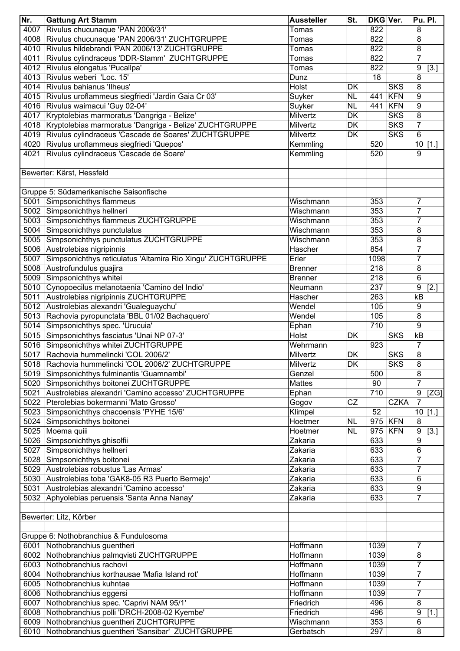| Nr.  | <b>Gattung Art Stamm</b>                                     | <b>Aussteller</b> | St.       | <b>DKG Ver.</b> |             | <b>Pu. Pl.</b>   |        |
|------|--------------------------------------------------------------|-------------------|-----------|-----------------|-------------|------------------|--------|
| 4007 | Rivulus chucunaque 'PAN 2006/31'                             | Tomas             |           | 822             |             | 8                |        |
| 4008 | Rivulus chucunaque 'PAN 2006/31' ZUCHTGRUPPE                 | Tomas             |           | 822             |             | 8                |        |
| 4010 | Rivulus hildebrandi 'PAN 2006/13' ZUCHTGRUPPE                | Tomas             |           | 822             |             | $\, 8$           |        |
| 4011 | Rivulus cylindraceus 'DDR-Stamm' ZUCHTGRUPPE                 | Tomas             |           | 822             |             | $\overline{7}$   |        |
| 4012 | Rivulus elongatus 'Pucallpa'                                 | Tomas             |           | 822             |             | $\boldsymbol{9}$ | $[3.]$ |
| 4013 | Rivulus weberi 'Loc. 15'                                     | Dunz              |           | 18              |             | 8                |        |
| 4014 | Rivulus bahianus 'Ilheus'                                    | Holst             | DK        |                 | <b>SKS</b>  | 8                |        |
| 4015 | Rivulus uroflammeus siegfriedi 'Jardin Gaia Cr 03'           | Suyker            | <b>NL</b> | 441             | <b>KFN</b>  | 9                |        |
|      | 4016 Rivulus waimacui 'Guy 02-04'                            | Suyker            | <b>NL</b> | 441             | KFN         | 9                |        |
| 4017 | Kryptolebias marmoratus 'Dangriga - Belize'                  | Milvertz          | <b>DK</b> |                 | <b>SKS</b>  | 8                |        |
|      | 4018 Kryptolebias marmoratus 'Dangriga - Belize' ZUCHTGRUPPE | Milvertz          | DK        |                 | <b>SKS</b>  | $\overline{7}$   |        |
|      | 4019 Rivulus cylindraceus 'Cascade de Soares' ZUCHTGRUPPE    | Milvertz          | DK        |                 | <b>SKS</b>  | $6\phantom{1}$   |        |
| 4020 | Rivulus uroflammeus siegfriedi 'Quepos'                      | Kemmling          |           | 520             |             | 10               | [1.]   |
| 4021 | Rivulus cylindraceus 'Cascade de Soare'                      | Kemmling          |           | 520             |             | 9                |        |
|      |                                                              |                   |           |                 |             |                  |        |
|      | Bewerter: Kärst, Hessfeld                                    |                   |           |                 |             |                  |        |
|      | Gruppe 5: Südamerikanische Saisonfische                      |                   |           |                 |             |                  |        |
| 5001 | Simpsonichthys flammeus                                      | Wischmann         |           | 353             |             | 7                |        |
|      | 5002 Simpsonichthys hellneri                                 | Wischmann         |           | 353             |             | $\overline{7}$   |        |
|      | 5003 Simpsonichthys flammeus ZUCHTGRUPPE                     | Wischmann         |           | 353             |             | $\overline{7}$   |        |
| 5004 | Simpsonichthys punctulatus                                   | Wischmann         |           | 353             |             | 8                |        |
| 5005 | Simpsonichthys punctulatus ZUCHTGRUPPE                       | Wischmann         |           | 353             |             | 8                |        |
| 5006 | Austrolebias nigripinnis                                     | Hascher           |           | 854             |             | 7                |        |
| 5007 | Simpsonichthys reticulatus 'Altamira Rio Xingu' ZUCHTGRUPPE  | Erler             |           | 1098            |             | $\overline{7}$   |        |
| 5008 | Austrofundulus guajira                                       | <b>Brenner</b>    |           | 218             |             | $\, 8$           |        |
| 5009 | Simpsonichthys whitei                                        | <b>Brenner</b>    |           | 218             |             | 6                |        |
| 5010 | Cynopoecilus melanotaenia 'Camino del Indio'                 | Neumann           |           | 237             |             | $\boldsymbol{9}$ | $[2.]$ |
| 5011 | Austrolebias nigripinnis ZUCHTGRUPPE                         | Hascher           |           | 263             |             | kB               |        |
| 5012 | Austrolebias alexandri 'Gualeguaychu'                        | Wendel            |           | 105             |             | 9                |        |
| 5013 | Rachovia pyropunctata 'BBL 01/02 Bachaquero'                 | Wendel            |           | 105             |             | 8                |        |
| 5014 | Simpsonichthys spec. 'Urucuia'                               |                   |           | 710             |             | 9                |        |
| 5015 |                                                              | Ephan<br>Holst    | DK        |                 | <b>SKS</b>  | $\overline{KB}$  |        |
|      | Simpsonichthys fasciatus 'Unai NP 07-3'                      |                   |           |                 |             | $\overline{7}$   |        |
| 5016 | Simpsonichthys whitei ZUCHTGRUPPE                            | Wehrmann          |           | 923             |             |                  |        |
| 5017 | Rachovia hummelincki 'COL 2006/2'                            | Milvertz          | <b>DK</b> |                 | <b>SKS</b>  | 8                |        |
| 5018 | Rachovia hummelincki 'COL 2006/2' ZUCHTGRUPPE                | Milvertz          | DK.       |                 | <b>SKS</b>  | 8                |        |
| 5019 | Simpsonichthys fulminantis 'Guamnambi'                       | Genzel            |           | 500             |             | $\, 8$           |        |
| 5020 | Simpsonichthys boitonei ZUCHTGRUPPE                          | <b>Mattes</b>     |           | 90              |             | $\overline{7}$   |        |
| 5021 | Austrolebias alexandri 'Camino accesso' ZUCHTGRUPPE          | Ephan             |           | 710             |             | $\boldsymbol{9}$ | [ZG]   |
| 5022 | Pterolebias bokermanni 'Mato Grosso'                         | Gogov             | CZ        |                 | <b>CZKA</b> | $\overline{7}$   |        |
| 5023 | Simpsonichthys chacoensis 'PYHE 15/6'                        | Klimpel           |           | 52              |             | 10               | $[1.]$ |
|      | 5024 Simpsonichthys boitonei                                 | Hoetmer           | <b>NL</b> |                 | 975 KFN     | 8                |        |
|      | 5025 Moema quiii                                             | Hoetmer           | <b>NL</b> | 975             | <b>KFN</b>  | 9                | $[3.]$ |
|      | 5026 Simpsonichthys ghisolfii                                | Zakaria           |           | 633             |             | 9                |        |
|      | 5027 Simpsonichthys hellneri                                 | Zakaria           |           | 633             |             | $\,6\,$          |        |
|      | 5028 Simpsonichthys boitonei                                 | Zakaria           |           | 633             |             | $\overline{7}$   |        |
|      | 5029 Austrolebias robustus 'Las Armas'                       | Zakaria           |           | 633             |             | $\overline{7}$   |        |
|      | 5030 Austrolebias toba 'GAK8-05 R3 Puerto Bermejo'           | Zakaria           |           | 633             |             | 6                |        |
| 5031 | Austrolebias alexandri 'Camino accesso'                      | Zakaria           |           | 633             |             | $\boldsymbol{9}$ |        |
|      | 5032 Aphyolebias peruensis 'Santa Anna Nanay'                | Zakaria           |           | 633             |             | $\overline{7}$   |        |
|      | Bewerter: Litz, Körber                                       |                   |           |                 |             |                  |        |
|      | Gruppe 6: Nothobranchius & Fundulosoma                       |                   |           |                 |             |                  |        |
| 6001 | Nothobranchius guentheri                                     | Hoffmann          |           | 1039            |             | 7                |        |
|      | 6002 Nothobranchius palmqvisti ZUCHTGRUPPE                   | Hoffmann          |           | 1039            |             | 8                |        |
| 6003 | Nothobranchius rachovi                                       | Hoffmann          |           | 1039            |             | 7                |        |
|      | 6004 Nothobranchius korthausae 'Mafia Island rot'            | Hoffmann          |           | 1039            |             | 7                |        |
|      | 6005 Nothobranchius kuhntae                                  | Hoffmann          |           | 1039            |             | $\overline{7}$   |        |
|      | 6006 Nothobranchius eggersi                                  | Hoffmann          |           | 1039            |             | 7                |        |
| 6007 | Nothobranchius spec. 'Caprivi NAM 95/1'                      | Friedrich         |           | 496             |             | 8                |        |
|      | 6008 Nothobranchius polli 'DRCH-2008-02 Kyembe'              | Friedrich         |           | 496             |             | $\boldsymbol{9}$ | $[1.]$ |
|      | 6009 Nothobranchius guentheri ZUCHTGRUPPE                    | Wischmann         |           | 353             |             | $\,6\,$          |        |
| 6010 | Nothobranchius guentheri 'Sansibar' ZUCHTGRUPPE              | Gerbatsch         |           | 297             |             | 8                |        |
|      |                                                              |                   |           |                 |             |                  |        |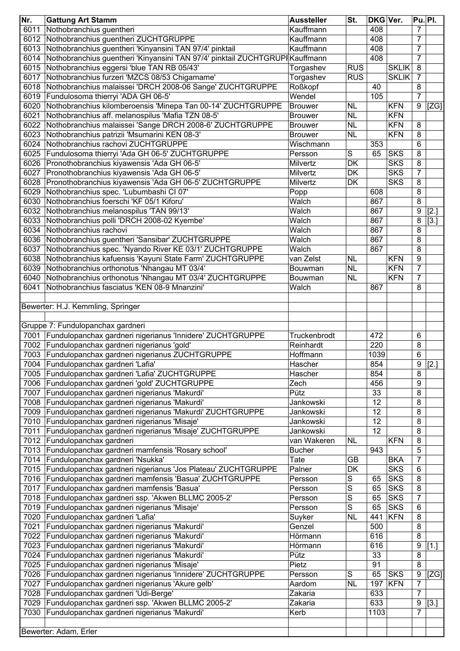| Nr.  | <b>Gattung Art Stamm</b>                                                                        | <b>Aussteller</b>     | St.        | DKG Ver. |              | Pu. Pl.        |               |
|------|-------------------------------------------------------------------------------------------------|-----------------------|------------|----------|--------------|----------------|---------------|
| 6011 | Nothobranchius guentheri                                                                        | Kauffmann             |            | 408      |              | $\overline{7}$ |               |
| 6012 | Nothobranchius guentheri ZUCHTGRUPPE                                                            | Kauffmann             |            | 408      |              | $\overline{7}$ |               |
| 6013 | Nothobranchius guentheri 'Kinyansini TAN 97/4' pinktail                                         | Kauffmann             |            | 408      |              | $\overline{7}$ |               |
| 6014 | Nothobranchius guentheri 'Kinyansini TAN 97/4' pinktail ZUCHTGRUPI Kauffmann                    |                       |            | 408      |              | 7              |               |
| 6015 | Nothobranchius eggersi 'blue TAN RB 05/43'                                                      | Torgashev             | <b>RUS</b> |          | <b>SKLIK</b> | 8              |               |
| 6017 | Nothobranchius furzeri 'MZCS 08/53 Chigamame'                                                   | Torgashev             | <b>RUS</b> |          | <b>SKLIK</b> | $\overline{7}$ |               |
|      | 6018 Nothobranchius malaissei 'DRCH 2008-06 Sange' ZUCHTGRUPPE                                  | Roßkopf               |            | 40       |              | 8              |               |
| 6019 | Fundulosoma thierryi 'ADA GH 06-5'                                                              | Wendel                |            | 105      |              | 7              |               |
| 6020 | Nothobranchius kilomberoensis 'Minepa Tan 00-14' ZUCHTGRUPPE                                    | <b>Brouwer</b>        | <b>NL</b>  |          | <b>KFN</b>   | 9              | [ZG]          |
| 6021 | Nothobranchius aff. melanospilus 'Mafia TZN 08-5'                                               | <b>Brouwer</b>        | <b>NL</b>  |          | <b>KFN</b>   |                |               |
| 6022 | Nothobranchius malaissei 'Sange DRCH 2008-6' ZUCHTGRUPPE                                        | <b>Brouwer</b>        | <b>NL</b>  |          | <b>KFN</b>   | 8              |               |
| 6023 | Nothobranchius patrizii 'Msumarini KEN 08-3'                                                    | <b>Brouwer</b>        | <b>NL</b>  |          | <b>KFN</b>   | 8              |               |
| 6024 | Nothobranchius rachovi ZUCHTGRUPPE                                                              | Wischmann             |            | 353      |              | 6              |               |
| 6025 | Fundulosoma thierryi 'Ada GH 06-5' ZUCHTGRUPPE                                                  | Persson               | S          | 65       | <b>SKS</b>   | 8              |               |
|      | 6026 Pronothobranchius kiyawensis 'Ada GH 06-5'                                                 | Milvertz              | DK         |          | <b>SKS</b>   | 8              |               |
| 6027 | Pronothobranchius kiyawensis 'Ada GH 06-5'                                                      | Milvertz              | DK         |          | <b>SKS</b>   | $\overline{7}$ |               |
| 6028 | Pronothobranchius kiyawensis 'Ada GH 06-5' ZUCHTGRUPPE                                          | Milvertz              | DK         |          | <b>SKS</b>   | 8              |               |
| 6029 | Nothobranchius spec. 'Lubumbashi CI 07'                                                         | Popp                  |            | 608      |              | 8              |               |
| 6030 | Nothobranchius foerschi 'KF 05/1 Kiforu'                                                        | Walch                 |            | 867      |              | 8              |               |
| 6032 | Nothobranchius melanospilus 'TAN 99/13'                                                         | Walch                 |            | 867      |              | 9              | [2.]          |
| 6033 | Nothobranchius polli 'DRCH 2008-02 Kyembe'                                                      | Walch                 |            | 867      |              | 8              | [3.]          |
| 6034 | Nothobranchius rachovi                                                                          | Walch                 |            | 867      |              | 8              |               |
| 6036 | Nothobranchius guentheri 'Sansibar' ZUCHTGRUPPE                                                 | Walch                 |            | 867      |              | 8              |               |
| 6037 | Nothobranchius spec. 'Nyando River KE 03/1' ZUCHTGRUPPE                                         | Walch                 |            | 867      |              | 8              |               |
| 6038 | Nothobranchius kafuensis 'Kayuni State Farm' ZUCHTGRUPPE                                        | van Zelst             | <b>NL</b>  |          | <b>KFN</b>   | 9              |               |
| 6039 | Nothobranchius orthonotus 'Nhangau MT 03/4'                                                     | Bouwman               | <b>NL</b>  |          | <b>KFN</b>   | $\overline{7}$ |               |
| 6040 | Nothobranchius orthonotus 'Nhangau MT 03/4' ZUCHTGRUPPE                                         | Bouwman               | <b>NL</b>  |          | <b>KFN</b>   | $\overline{7}$ |               |
| 6041 | Nothobranchius fasciatus 'KEN 08-9 Mnanzini'                                                    | Walch                 |            | 867      |              | 8              |               |
|      |                                                                                                 |                       |            |          |              |                |               |
|      | Bewerter: H.J. Kemmling, Springer                                                               |                       |            |          |              |                |               |
|      |                                                                                                 |                       |            |          |              |                |               |
|      | Gruppe 7: Fundulopanchax gardneri                                                               |                       |            |          |              |                |               |
| 7001 | Fundulopanchax gardneri nigerianus 'Innidere' ZUCHTGRUPPE                                       | Truckenbrodt          |            | 472      |              | 6              |               |
| 7002 | Fundulopanchax gardneri nigerianus 'gold'                                                       | Reinhardt             |            | 220      |              | 8              |               |
|      | 7003 Fundulopanchax gardneri nigerianus ZUCHTGRUPPE                                             | Hoffmann              |            | 1039     |              | 6              |               |
|      | 7004 Fundulopanchax gardneri 'Lafia'                                                            | Hascher               |            | 854      |              | $\overline{9}$ | $\boxed{[2]}$ |
|      | 7005 Fundulopanchax gardneri 'Lafia' ZUCHTGRUPPE                                                | Hascher               |            | 854      |              | 8              |               |
| 7006 | Fundulopanchax gardneri 'gold' ZUCHTGRUPPE                                                      | Zech                  |            | 456      |              | 9              |               |
| 7007 | Fundulopanchax gardneri nigerianus 'Makurdi'                                                    | Pütz                  |            | 33       |              | 8              |               |
|      | 7008 Fundulopanchax gardneri nigerianus 'Makurdi'                                               | Jankowski             |            | 12       |              | 8              |               |
|      | 7009 Fundulopanchax gardneri nigerianus 'Makurdi' ZUCHTGRUPPE                                   | Jankowski             |            | 12       |              | 8              |               |
| 7011 | 7010 Fundulopanchax gardneri nigerianus 'Misaje'                                                | Jankowski             |            | 12       |              | 8              |               |
|      | Fundulopanchax gardneri nigerianus 'Misaje' ZUCHTGRUPPE                                         | Jankowski             |            | 12       |              | 8              |               |
|      | 7012 Fundulopanchax gardneri                                                                    | van Wakeren           | <b>NL</b>  | 943      | <b>KFN</b>   | 8<br>5         |               |
|      | 7013 Fundulopanchax gardneri mamfensis 'Rosary school'<br>7014 Fundulopanchax gardneri 'Nsukka' | <b>Bucher</b><br>Tate | GB         |          | <b>BKA</b>   | $\overline{7}$ |               |
|      | 7015 Fundulopanchax gardneri nigerianus 'Jos Plateau' ZUCHTGRUPPE                               |                       | DK         |          | <b>SKS</b>   | 6              |               |
|      | 7016 Fundulopanchax gardneri mamfensis 'Basua' ZUCHTGRUPPE                                      | Palner<br>Persson     | S          | 65       | <b>SKS</b>   | 8              |               |
|      | 7017 Fundulopanchax gardneri mamfensis 'Basua'                                                  | Persson               | S          | 65       | <b>SKS</b>   | 8              |               |
|      | 7018 Fundulopanchax gardneri ssp. 'Akwen BLLMC 2005-2'                                          | Persson               | S          | 65       | <b>SKS</b>   | $\overline{7}$ |               |
|      | 7019 Fundulopanchax gardneri nigerianus 'Misaje'                                                | Persson               | S          | 65       | <b>SKS</b>   | 6              |               |
| 7020 | Fundulopanchax gardneri 'Lafia'                                                                 | Suyker                | <b>NL</b>  | 441      | <b>KFN</b>   | 8              |               |
| 7021 | Fundulopanchax gardneri nigerianus 'Makurdi'                                                    | Genzel                |            | 500      |              | 8              |               |
| 7022 | Fundulopanchax gardneri nigerianus 'Makurdi'                                                    | Hörmann               |            | 616      |              | 8              |               |
|      | 7023 Fundulopanchax gardneri nigerianus 'Makurdi'                                               | Hörmann               |            | 616      |              | 9              | $[1.]$        |
|      | 7024 Fundulopanchax gardneri nigerianus 'Makurdi'                                               | Pütz                  |            | 33       |              | 8              |               |
| 7025 | Fundulopanchax gardneri nigerianus 'Misaje'                                                     | Pietz                 |            | 91       |              | 8              |               |
| 7026 | Fundulopanchax gardneri nigerianus 'Innidere' ZUCHTGRUPPE                                       | Persson               | S          | 65       | <b>SKS</b>   | 9              | [ZG]          |
| 7027 | Fundulopanchax gardneri nigerianus 'Akure gelb'                                                 | Aardom                | <b>NL</b>  | 197      | KFN          | $\overline{7}$ |               |
| 7028 | Fundulopanchax gardneri 'Udi-Berge'                                                             | Zakaria               |            | 633      |              | $\overline{7}$ |               |
| 7029 | Fundulopanchax gardneri ssp. 'Akwen BLLMC 2005-2'                                               | Zakaria               |            | 633      |              | 9              | $[3.]$        |
| 7030 | Fundulopanchax gardneri nigerianus 'Makurdi'                                                    | Kerb                  |            | 1103     |              | 7              |               |
|      |                                                                                                 |                       |            |          |              |                |               |
|      | Bewerter: Adam, Erler                                                                           |                       |            |          |              |                |               |
|      |                                                                                                 |                       |            |          |              |                |               |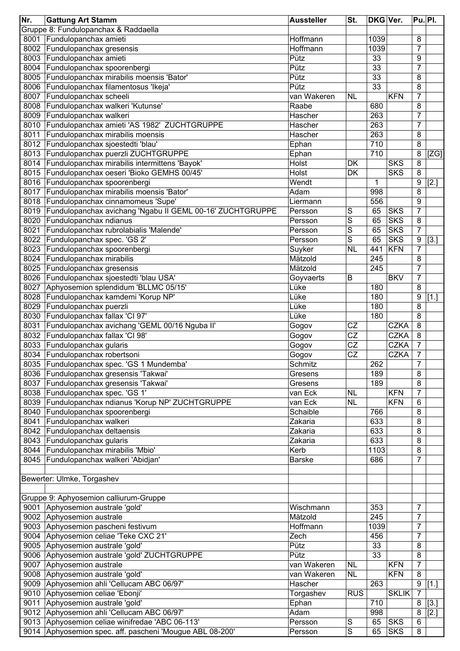| Nr.  | <b>Gattung Art Stamm</b>                                       | <b>Aussteller</b> | St.                     | DKG Ver.        |              | <b>Pu. PI.</b> |      |
|------|----------------------------------------------------------------|-------------------|-------------------------|-----------------|--------------|----------------|------|
|      | Gruppe 8: Fundulopanchax & Raddaella                           |                   |                         |                 |              |                |      |
|      | 8001 Fundulopanchax amieti                                     | Hoffmann          |                         | 1039            |              | 8              |      |
|      | 8002 Fundulopanchax gresensis                                  | Hoffmann          |                         | 1039            |              | 7              |      |
|      | 8003 Fundulopanchax amieti                                     | Pütz              |                         | 33              |              | 9              |      |
|      | 8004 Fundulopanchax spoorenbergi                               | Pütz              |                         | 33              |              | 7              |      |
|      | 8005 Fundulopanchax mirabilis moensis 'Bator'                  | Pütz              |                         | 33              |              | 8              |      |
|      | 8006 Fundulopanchax filamentosus 'Ikeja'                       | Pütz              |                         | $\overline{33}$ |              | 8              |      |
| 8007 | Fundulopanchax scheeli                                         | van Wakeren       | <b>NL</b>               |                 | <b>KFN</b>   | 7              |      |
|      | 8008 Fundulopanchax walkeri 'Kutunse'                          | Raabe             |                         | 680             |              | 8              |      |
| 8009 | Fundulopanchax walkeri                                         | Hascher           |                         | 263             |              | $\overline{7}$ |      |
|      | 8010 Fundulopanchax amieti 'AS 1982' ZUCHTGRUPPE               | Hascher           |                         | 263             |              | 7              |      |
| 8011 | Fundulopanchax mirabilis moensis                               | Hascher           |                         | 263             |              | 8              |      |
| 8012 | Fundulopanchax sjoestedti 'blau'                               | Ephan             |                         | 710             |              | 8              |      |
| 8013 | Fundulopanchax puerzli ZUCHTGRUPPE                             | Ephan             |                         | 710             |              | 8              | [ZG] |
| 8014 | Fundulopanchax mirabilis intermittens 'Bayok'                  | Holst             | DK                      |                 | <b>SKS</b>   | 8              |      |
| 8015 | Fundulopanchax oeseri 'Bioko GEMHS 00/45'                      | Holst             | DK                      |                 | <b>SKS</b>   | 8              |      |
|      | 8016 Fundulopanchax spoorenbergi                               | Wendt             |                         | 1               |              | 9              | [2.] |
| 8017 | Fundulopanchax mirabilis moensis 'Bator'                       | Adam              |                         | 998             |              | 8              |      |
|      | 8018 Fundulopanchax cinnamomeus 'Supe'                         | Liermann          |                         | 556             |              | 9              |      |
|      | 8019 Fundulopanchax avichang 'Ngabu II GEML 00-16' ZUCHTGRUPPE | Persson           | S                       | 65              | <b>SKS</b>   | 7              |      |
| 8020 | Fundulopanchax ndianus                                         | Persson           | S                       | 65              | <b>SKS</b>   | 8              |      |
| 8021 | Fundulopanchax rubrolabialis 'Malende'                         | Persson           | S                       | 65              | <b>SKS</b>   | $\overline{7}$ |      |
| 8022 | Fundulopanchax spec. 'GS 2'                                    | Persson           | S                       | 65              | <b>SKS</b>   | 9              | [3.] |
| 8023 | Fundulopanchax spoorenbergi                                    | Suyker            | <b>NL</b>               | 441             | <b>KFN</b>   | $\overline{7}$ |      |
| 8024 | Fundulopanchax mirabilis                                       | Mätzold           |                         | 245             |              | 8              |      |
| 8025 | Fundulopanchax gresensis                                       | Mätzold           |                         | 245             |              | $\overline{7}$ |      |
| 8026 | Fundulopanchax sjoestedti 'blau USA'                           | Goyvaerts         | B                       |                 | <b>BKV</b>   | $\overline{7}$ |      |
| 8027 | Aphyosemion splendidum 'BLLMC 05/15'                           | Lüke              |                         | 180             |              | 8              |      |
| 8028 | Fundulopanchax kamdemi 'Korup NP'                              | Lüke              |                         | 180             |              | 9              | [1.] |
| 8029 | Fundulopanchax puerzli                                         | Lüke              |                         | 180             |              | 8              |      |
| 8030 | Fundulopanchax fallax 'Cl 97'                                  | Lüke              |                         | 180             |              | 8              |      |
| 8031 | Fundulopanchax avichang 'GEML 00/16 Nguba II'                  | Gogov             | CZ                      |                 | <b>CZKA</b>  | 8              |      |
| 8032 | Fundulopanchax fallax 'CI 98'                                  | Gogov             | $\overline{\text{CZ}}$  |                 | <b>CZKA</b>  | 8              |      |
| 8033 | Fundulopanchax gularis                                         | Gogov             | $\overline{\text{CZ}}$  |                 | CZKA         | 7              |      |
| 8034 | Fundulopanchax robertsoni                                      | Gogov             | $\overline{\text{CZ}}$  |                 | <b>CZKA</b>  | $\overline{7}$ |      |
|      | 8035   Fundulopanchax spec. 'GS 1 Mundemba'                    | Schmitz           |                         | 262             |              | 7              |      |
|      | 8036 Fundulopanchax gresensis 'Takwai'                         | Gresens           |                         | 189             |              | 8              |      |
|      | 8037 Fundulopanchax gresensis 'Takwai'                         | Gresens           |                         | 189             |              | 8              |      |
|      | 8038 Fundulopanchax spec. 'GS 1'                               | van Eck           | <b>NL</b>               |                 | <b>KFN</b>   | 7              |      |
|      | 8039 Fundulopanchax ndianus 'Korup NP' ZUCHTGRUPPE             | van Eck           | <b>NL</b>               |                 | <b>KFN</b>   | 6              |      |
|      | 8040 Fundulopanchax spoorenbergi                               | Schaible          |                         | 766             |              | 8              |      |
| 8041 | Fundulopanchax walkeri                                         | Zakaria           |                         | 633             |              | 8              |      |
|      | 8042 Fundulopanchax deltaensis                                 | Zakaria           |                         | 633             |              | 8              |      |
|      | 8043 Fundulopanchax gularis                                    | Zakaria           |                         | 633             |              | 8              |      |
|      | 8044 Fundulopanchax mirabilis 'Mbio'                           | Kerb              |                         | 1103            |              | 8              |      |
|      | 8045 Fundulopanchax walkeri 'Abidjan'                          | <b>Barske</b>     |                         | 686             |              | 7              |      |
|      |                                                                |                   |                         |                 |              |                |      |
|      | Bewerter: Ulmke, Torgashev                                     |                   |                         |                 |              |                |      |
|      |                                                                |                   |                         |                 |              |                |      |
|      | Gruppe 9: Aphyosemion calliurum-Gruppe                         |                   |                         |                 |              |                |      |
|      | 9001 Aphyosemion australe 'gold'                               | Wischmann         |                         | 353             |              | 7              |      |
|      | 9002 Aphyosemion australe                                      | Mätzold           |                         | 245             |              | 7              |      |
|      | 9003 Aphyosemion pascheni festivum                             | Hoffmann          |                         | 1039            |              | 7              |      |
|      | 9004 Aphyosemion celiae 'Teke CXC 21'                          | Zech              |                         | 456             |              | 7              |      |
|      | 9005 Aphyosemion australe 'gold'                               | Pütz              |                         | 33              |              | 8              |      |
|      | 9006 Aphyosemion australe 'gold' ZUCHTGRUPPE                   | Pütz              |                         | 33              |              | 8              |      |
|      | 9007 Aphyosemion australe                                      | van Wakeren       | <b>NL</b>               |                 | <b>KFN</b>   | $\overline{7}$ |      |
|      | 9008 Aphyosemion australe 'gold'                               | van Wakeren       | <b>NL</b>               |                 | <b>KFN</b>   | 8              |      |
|      | 9009 Aphyosemion ahli 'Cellucam ABC 06/97'                     | Hascher           |                         | 263             |              | 9              | [1.] |
|      | 9010 Aphyosemion celiae 'Ebonji'                               | Torgashev         | <b>RUS</b>              |                 | <b>SKLIK</b> | $\overline{7}$ |      |
|      | 9011 Aphyosemion australe 'gold'                               | Ephan             |                         | 710             |              | 8              | [3.] |
|      | 9012 Aphyosemion ahli 'Cellucam ABC 06/97'                     | Adam              |                         | 998             |              | 8              | [2.] |
|      | 9013 Aphyosemion celiae winifredae 'ABC 06-113'                | Persson           | S                       | 65              | <b>SKS</b>   | $\,6$          |      |
|      | 9014   Aphyosemion spec. aff. pascheni 'Mougue ABL 08-200'     | Persson           | $\overline{\mathsf{s}}$ | 65              | <b>SKS</b>   | $\bf 8$        |      |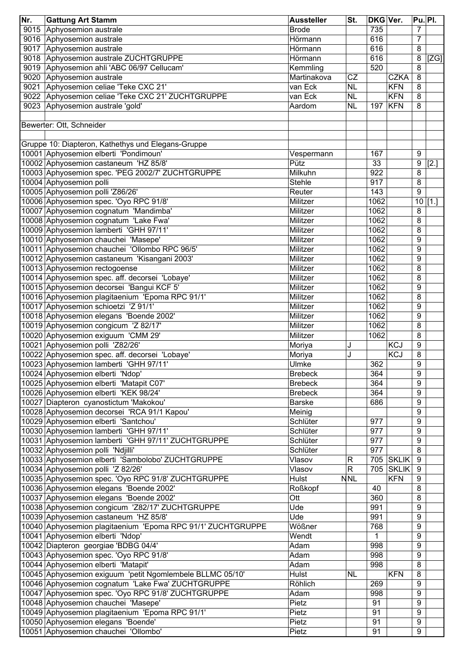| Nr.  | <b>Gattung Art Stamm</b>                                    | <b>Aussteller</b> | St.          | <b>DKG Ver.</b> |              | Pu. Pl.        |           |
|------|-------------------------------------------------------------|-------------------|--------------|-----------------|--------------|----------------|-----------|
| 9015 | Aphyosemion australe                                        | <b>Brode</b>      |              | 735             |              | $\overline{7}$ |           |
| 9016 | Aphyosemion australe                                        | Hörmann           |              | 616             |              | $\overline{7}$ |           |
| 9017 | Aphyosemion australe                                        | Hörmann           |              | 616             |              | 8              |           |
| 9018 | Aphyosemion australe ZUCHTGRUPPE                            | Hörmann           |              | 616             |              | 8              | [ZG]      |
| 9019 | Aphyosemion ahli 'ABC 06/97 Cellucam'                       | Kemmling          |              | 520             |              | 8              |           |
| 9020 | Aphyosemion australe                                        | Martinakova       | <b>CZ</b>    |                 | <b>CZKA</b>  | 8              |           |
| 9021 | Aphyosemion celiae 'Teke CXC 21'                            | van Eck           | <b>NL</b>    |                 | <b>KFN</b>   | 8              |           |
| 9022 | Aphyosemion celiae 'Teke CXC 21' ZUCHTGRUPPE                | van Eck           | <b>NL</b>    |                 | <b>KFN</b>   | 8              |           |
| 9023 | Aphyosemion australe 'gold'                                 | Aardom            | <b>NL</b>    | 197             | <b>KFN</b>   | 8              |           |
|      |                                                             |                   |              |                 |              |                |           |
|      | Bewerter: Ott, Schneider                                    |                   |              |                 |              |                |           |
|      |                                                             |                   |              |                 |              |                |           |
|      | Gruppe 10: Diapteron, Kathethys und Elegans-Gruppe          |                   |              |                 |              |                |           |
|      | 10001 Aphyosemion elberti 'Pondimoun'                       | Vespermann        |              | 167             |              | 9              |           |
|      | 10002 Aphyosemion castaneum 'HZ 85/8'                       | Pütz              |              | 33              |              | 9              | [2.]      |
|      | 10003 Aphyosemion spec. 'PEG 2002/7' ZUCHTGRUPPE            | Milkuhn           |              | 922             |              | 8              |           |
|      | 10004 Aphyosemion polli                                     | <b>Stehle</b>     |              | 917             |              | 8              |           |
|      | 10005 Aphyosemion polli 'Z86/26'                            | Reuter            |              | 143             |              | 9              |           |
|      | 10006 Aphyosemion spec. 'Oyo RPC 91/8'                      | Militzer          |              | 1062            |              |                | $10$ [1.] |
|      |                                                             |                   |              |                 |              |                |           |
|      | 10007 Aphyosemion cognatum 'Mandimba'                       | Militzer          |              | 1062            |              | 8              |           |
|      | 10008 Aphyosemion cognatum 'Lake Fwa'                       | Militzer          |              | 1062            |              | 8              |           |
|      | 10009 Aphyosemion lamberti 'GHH 97/11'                      | Militzer          |              | 1062            |              | 8              |           |
|      | 10010 Aphyosemion chauchei 'Masepe'                         | Militzer          |              | 1062            |              | 9              |           |
|      | 10011 Aphyosemion chauchei 'Ollombo RPC 96/5'               | Militzer          |              | 1062            |              | 9              |           |
|      | 10012 Aphyosemion castaneum 'Kisangani 2003'                | Militzer          |              | 1062            |              | 9              |           |
|      | 10013 Aphyosemion rectogoense                               | Militzer          |              | 1062            |              | 8              |           |
|      | 10014 Aphyosemion spec. aff. decorsei 'Lobaye'              | Militzer          |              | 1062            |              | 8              |           |
|      | 10015 Aphyosemion decorsei 'Bangui KCF 5'                   | Militzer          |              | 1062            |              | 9              |           |
|      | 10016 Aphyosemion plagitaenium 'Epoma RPC 91/1'             | Militzer          |              | 1062            |              | 8              |           |
|      | 10017 Aphyosemion schioetzi 'Z 91/1'                        | Militzer          |              | 1062            |              | 9              |           |
|      | 10018 Aphyosemion elegans 'Boende 2002'                     | Militzer          |              | 1062            |              | 9              |           |
|      | 10019 Aphyosemion congicum 'Z 82/17'                        | Militzer          |              | 1062            |              | 8              |           |
|      | 10020 Aphyosemion exiguum 'CMM 29'                          | Militzer          |              | 1062            |              | 8              |           |
|      | 10021 Aphyosemion polli 'Z82/26'                            | Moriya            | J            |                 | <b>KCJ</b>   | 9              |           |
|      | 10022 Aphyosemion spec. aff. decorsei 'Lobaye'              | Moriya            | J            |                 | <b>KCJ</b>   | 8              |           |
|      | 10023 Aphyosemion lamberti 'GHH 97/11'                      | Ulmke             |              | 362             |              | 9              |           |
|      | 10024 Aphyosemion elberti 'Ndop'                            | <b>Brebeck</b>    |              | 364             |              | 9              |           |
|      | 10025 Aphyosemion elberti 'Matapit C07'                     | <b>Brebeck</b>    |              | 364             |              | 9              |           |
|      | 10026 Aphyosemion elberti 'KEK 98/24'                       | <b>Brebeck</b>    |              | 364             |              | 9              |           |
|      | 10027 Diapteron cyanostictum 'Makokou'                      | <b>Barske</b>     |              | 686             |              | 9              |           |
|      | 10028 Aphyosemion decorsei 'RCA 91/1 Kapou'                 | Meinig            |              |                 |              | 9              |           |
|      | 10029 Aphyosemion elberti 'Santchou'                        | Schlüter          |              | 977             |              | 9              |           |
|      | 10030 Aphyosemion lamberti 'GHH 97/11'                      | Schlüter          |              | 977             |              | 9              |           |
|      | 10031 Aphyosemion lamberti 'GHH 97/11' ZUCHTGRUPPE          | Schlüter          |              | 977             |              | 9              |           |
|      | 10032 Aphyosemion polli 'Ndjilli'                           | Schlüter          |              | 977             |              | 8              |           |
|      | 10033 Aphyosemion elberti 'Sambolobo' ZUCHTGRUPPE           | Vlasov            | R            | 705             | <b>SKLIK</b> | 9              |           |
|      |                                                             |                   | $\mathsf{R}$ | 705             | <b>SKLIK</b> | 9              |           |
|      | 10034 Aphyosemion polli 'Z 82/26'                           | Vlasov            |              |                 |              |                |           |
|      | 10035 Aphyosemion spec. 'Oyo RPC 91/8' ZUCHTGRUPPE          | Hulst             | <b>NNL</b>   |                 | <b>KFN</b>   | 9              |           |
|      | 10036 Aphyosemion elegans 'Boende 2002'                     | Roßkopf           |              | 40              |              | 8              |           |
|      | 10037 Aphyosemion elegans 'Boende 2002'                     | Ott               |              | 360             |              | 8              |           |
|      | 10038 Aphyosemion congicum 'Z82/17' ZUCHTGRUPPE             | Ude               |              | 991             |              | 9              |           |
|      | 10039 Aphyosemion castaneum 'HZ 85/8'                       | Ude               |              | 991             |              | 9              |           |
|      | 10040 Aphyosemion plagitaenium 'Epoma RPC 91/1' ZUCHTGRUPPE | Wößner            |              | 768             |              | 9              |           |
|      | 10041 Aphyosemion elberti 'Ndop'                            | Wendt             |              | 1               |              | 9              |           |
|      | 10042 Diapteron georgiae 'BDBG 04/4'                        | Adam              |              | 998             |              | 9              |           |
|      | 10043 Aphyosemion spec. 'Oyo RPC 91/8'                      | Adam              |              | 998             |              | 9              |           |
|      | 10044 Aphyosemion elberti 'Matapit'                         | Adam              |              | 998             |              | 8              |           |
|      | 10045 Aphyosemion exiguum 'petit Ngomlembele BLLMC 05/10'   | Hulst             | <b>NL</b>    |                 | <b>KFN</b>   | 8              |           |
|      | 10046 Aphyosemion cognatum 'Lake Fwa' ZUCHTGRUPPE           | Röhlich           |              | 269             |              | 9              |           |
|      | 10047 Aphyosemion spec. 'Oyo RPC 91/8' ZUCHTGRUPPE          | Adam              |              | 998             |              | 9              |           |
|      | 10048 Aphyosemion chauchei 'Masepe'                         | Pietz             |              | 91              |              | 9              |           |
|      | 10049 Aphyosemion plagitaenium 'Epoma RPC 91/1'             | Pietz             |              | 91              |              | 9              |           |
|      | 10050 Aphyosemion elegans 'Boende'                          | Pietz             |              | 91              |              | 9              |           |
|      | 10051 Aphyosemion chauchei 'Ollombo'                        | Pietz             |              | 91              |              | 9              |           |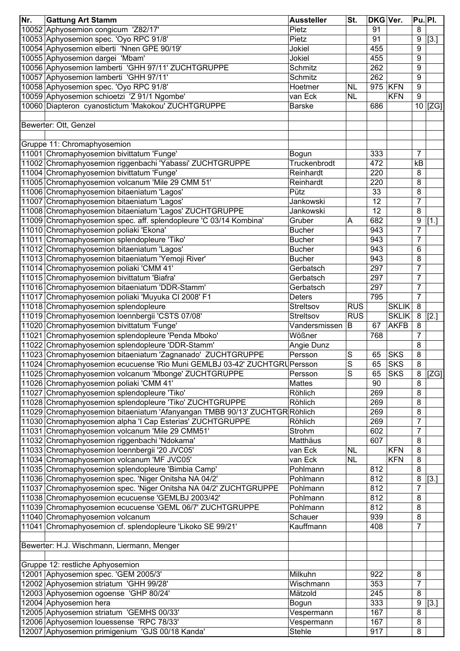| Nr. | <b>Gattung Art Stamm</b>                                                   | <b>Aussteller</b> | $\overline{\mathsf{St}}$ . | DKG Ver. |              | <b>Pu. Pl.</b>   |              |
|-----|----------------------------------------------------------------------------|-------------------|----------------------------|----------|--------------|------------------|--------------|
|     | 10052 Aphyosemion congicum 'Z82/17'                                        | Pietz             |                            | 91       |              | 8                |              |
|     | 10053 Aphyosemion spec. 'Oyo RPC 91/8'                                     | Pietz             |                            | 91       |              | 9                | $[3.]$       |
|     | 10054 Aphyosemion elberti 'Nnen GPE 90/19'                                 | Jokiel            |                            | 455      |              | 9                |              |
|     | 10055 Aphyosemion dargei 'Mbam'                                            | Jokiel            |                            | 455      |              | 9                |              |
|     | 10056 Aphyosemion lamberti 'GHH 97/11' ZUCHTGRUPPE                         | Schmitz           |                            | 262      |              | 9                |              |
|     | 10057 Aphyosemion lamberti 'GHH 97/11'                                     | Schmitz           |                            | 262      |              | 9                |              |
|     | 10058 Aphyosemion spec. 'Oyo RPC 91/8'                                     | Hoetmer           | <b>NL</b>                  | 975      | <b>KFN</b>   | 9                |              |
|     | 10059 Aphyosemion schioetzi 'Z 91/1 Ngombe'                                | van Eck           | <b>NL</b>                  |          | <b>KFN</b>   | $\boldsymbol{9}$ |              |
|     | 10060 Diapteron cyanostictum 'Makokou' ZUCHTGRUPPE                         | <b>Barske</b>     |                            | 686      |              |                  | $10$ [ZG]    |
|     |                                                                            |                   |                            |          |              |                  |              |
|     | Bewerter: Ott, Genzel                                                      |                   |                            |          |              |                  |              |
|     |                                                                            |                   |                            |          |              |                  |              |
|     | Gruppe 11: Chromaphyosemion                                                |                   |                            |          |              |                  |              |
|     | 11001 Chromaphyosemion bivittatum 'Funge'                                  | Bogun             |                            | 333      |              | $\overline{7}$   |              |
|     | 11002 Chromaphyosemion riggenbachi 'Yabassi' ZUCHTGRUPPE                   | Truckenbrodt      |                            | 472      |              | kB               |              |
|     | 11004 Chromaphyosemion bivittatum 'Funge'                                  | Reinhardt         |                            | 220      |              | 8                |              |
|     | 11005 Chromaphyosemion volcanum 'Mile 29 CMM 51'                           | Reinhardt         |                            | 220      |              | 8                |              |
|     | 11006 Chromaphyosemion bitaeniatum 'Lagos'                                 | Pütz              |                            | 33       |              | 8                |              |
|     | 11007 Chromaphyosemion bitaeniatum 'Lagos'                                 | Jankowski         |                            | 12       |              | $\overline{7}$   |              |
|     | 11008 Chromaphyosemion bitaeniatum 'Lagos' ZUCHTGRUPPE                     | Jankowski         |                            | 12       |              | 8                |              |
|     | 11009 Chromaphyosemion spec. aff. splendopleure 'C 03/14 Kombina'          | Gruber            | A                          | 682      |              | 9                | $\vert$ [1.] |
|     | 11010 Chromaphyosemion poliaki 'Ekona'                                     | <b>Bucher</b>     |                            | 943      |              | $\overline{7}$   |              |
|     |                                                                            |                   |                            | 943      |              | $\overline{7}$   |              |
|     | 11011 Chromaphyosemion splendopleure 'Tiko'                                | <b>Bucher</b>     |                            | 943      |              |                  |              |
|     | 11012 Chromaphyosemion bitaeniatum 'Lagos'                                 | <b>Bucher</b>     |                            |          |              | 6                |              |
|     | 11013 Chromaphyosemion bitaeniatum 'Yemoji River'                          | <b>Bucher</b>     |                            | 943      |              | 8                |              |
|     | 11014 Chromaphyosemion poliaki 'CMM 41'                                    | Gerbatsch         |                            | 297      |              | $\overline{7}$   |              |
|     | 11015 Chromaphyosemion bivittatum 'Biafra'                                 | Gerbatsch         |                            | 297      |              | $\overline{7}$   |              |
|     | 11016 Chromaphyosemion bitaeniatum 'DDR-Stamm'                             | Gerbatsch         |                            | 297      |              | $\overline{7}$   |              |
|     | 11017 Chromaphyosemion poliaki 'Muyuka CI 2008' F1                         | <b>Deters</b>     |                            | 795      |              | $\overline{7}$   |              |
|     | 11018 Chromaphyosemion splendopleure                                       | Streltsov         | <b>RUS</b>                 |          | <b>SKLIK</b> | 8                |              |
|     | 11019 Chromaphyosemion loennbergii 'CSTS 07/08'                            | Streltsov         | <b>RUS</b>                 |          | <b>SKLIK</b> | $\bf 8$          | [2.]         |
|     | 11020 Chromaphyosemion bivittatum 'Funge'                                  | Vandersmissen     | ΙB                         | 67       | <b>AKFB</b>  | 8                |              |
|     | 11021 Chromaphyosemion splendopleure 'Penda Mboko'                         | Wößner            |                            | 768      |              | $\overline{7}$   |              |
|     | 11022 Chromaphyosemion splendopleure 'DDR-Stamm'                           | Angie Dunz        |                            |          |              | 8                |              |
|     | 11023 Chromaphyosemion bitaeniatum 'Zagnanado' ZUCHTGRUPPE                 | Persson           | $\overline{S}$             | 65       | <b>SKS</b>   | 8                |              |
|     | 11024 Chromaphyosemion ecucuense 'Rio Muni GEMLBJ 03-42' ZUCHTGRUPersson   |                   | S                          | 65       | <b>SKS</b>   | 8                |              |
|     | 11025 Chromaphyosemion volcanum 'Mbonge' ZUCHTGRUPPE                       | Persson           | S                          | 65       | <b>SKS</b>   | 8                | ZG           |
|     | 11026 Chromaphyosemion poliaki 'CMM 41'                                    | <b>Mattes</b>     |                            | 90       |              | 8                |              |
|     | 11027 Chromaphyosemion splendopleure 'Tiko'                                | Röhlich           |                            | 269      |              | 8                |              |
|     | 11028 Chromaphyosemion splendopleure 'Tiko' ZUCHTGRUPPE                    | Röhlich           |                            | 269      |              | 8                |              |
|     | 11029 Chromaphyosemion bitaeniatum 'Afanyangan TMBB 90/13' ZUCHTGR Röhlich |                   |                            | 269      |              | 8                |              |
|     | 11030 Chromaphyosemion alpha 'I Cap Esterias' ZUCHTGRUPPE                  | Röhlich           |                            | 269      |              | 7                |              |
|     | 11031 Chromaphyosemion volcanum 'Mile 29 CMM51'                            | Strohm            |                            | 602      |              | $\overline{7}$   |              |
|     | 11032 Chromaphyosemion riggenbachi 'Ndokama'                               | Matthäus          |                            | 607      |              | 8                |              |
|     | 11033 Chromaphyosemion loennbergii '20 JVC05'                              | van Eck           | <b>NL</b>                  |          | <b>KFN</b>   | 8                |              |
|     | 11034 Chromaphyosemion volcanum 'MF JVC05'                                 | van Eck           | <b>NL</b>                  |          | <b>KFN</b>   | 8                |              |
|     | 11035 Chromaphyosemion splendopleure 'Bimbia Camp'                         | Pohlmann          |                            | 812      |              | 8                |              |
|     | 11036 Chromaphyosemion spec. 'Niger Onitsha NA 04/2'                       | Pohlmann          |                            | 812      |              | 8                | $[3.]$       |
|     | 11037 Chromaphyosemion spec. 'Niger Onitsha NA 04/2' ZUCHTGRUPPE           | Pohlmann          |                            | 812      |              | $\overline{7}$   |              |
|     | 11038 Chromaphyosemion ecucuense 'GEMLBJ 2003/42'                          | Pohlmann          |                            | 812      |              | 8                |              |
|     | 11039 Chromaphyosemion ecucuense 'GEML 06/7' ZUCHTGRUPPE                   | Pohlmann          |                            | 812      |              | 8                |              |
|     | 11040 Chromaphyosemion volcanum                                            | Schauer           |                            | 939      |              | 8                |              |
|     | 11041 Chromaphyosemion cf. splendopleure 'Likoko SE 99/21'                 | Kauffmann         |                            | 408      |              | 7                |              |
|     |                                                                            |                   |                            |          |              |                  |              |
|     | Bewerter: H.J. Wischmann, Liermann, Menger                                 |                   |                            |          |              |                  |              |
|     |                                                                            |                   |                            |          |              |                  |              |
|     | Gruppe 12: restliche Aphyosemion                                           |                   |                            |          |              |                  |              |
|     | 12001 Aphyosemion spec. 'GEM 2005/3'                                       | Milkuhn           |                            | 922      |              | 8                |              |
|     | 12002 Aphyosemion striatum 'GHH 99/28'                                     | Wischmann         |                            | 353      |              | 7                |              |
|     | 12003 Aphyosemion ogoense 'GHP 80/24'                                      | Mätzold           |                            | 245      |              | 8                |              |
|     | 12004 Aphyosemion hera                                                     | Bogun             |                            | 333      |              | 9                | [3.]         |
|     | 12005 Aphyosemion striatum 'GEMHS 00/33'                                   | Vespermann        |                            | 167      |              | 8                |              |
|     | 12006 Aphyosemion louessense 'RPC 78/33'                                   | Vespermann        |                            | 167      |              | 8                |              |
|     | 12007 Aphyosemion primigenium 'GJS 00/18 Kanda'                            | Stehle            |                            | 917      |              | 8                |              |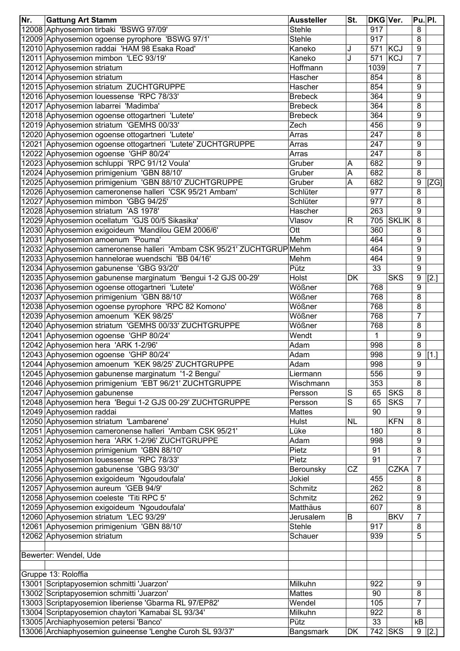| Nr. | <b>Gattung Art Stamm</b>                                                                     | <b>Aussteller</b> | St.       | DKG Ver.     |              | <b>Pu. Pl.</b>   |          |
|-----|----------------------------------------------------------------------------------------------|-------------------|-----------|--------------|--------------|------------------|----------|
|     | 12008 Aphyosemion tirbaki 'BSWG 97/09'                                                       | <b>Stehle</b>     |           | 917          |              | 8                |          |
|     | 12009 Aphyosemion ogoense pyrophore 'BSWG 97/1'                                              | <b>Stehle</b>     |           | 917          |              | 8                |          |
|     | 12010 Aphyosemion raddai 'HAM 98 Esaka Road'                                                 | Kaneko            | J         |              | 571 KCJ      | 9                |          |
|     | 12011 Aphyosemion mimbon 'LEC 93/19'                                                         | Kaneko            | J         | 571          | KCJ          | $\overline{7}$   |          |
|     | 12012 Aphyosemion striatum                                                                   | Hoffmann          |           | 1039         |              | 7                |          |
|     | 12014 Aphyosemion striatum                                                                   | Hascher           |           | 854          |              | 8                |          |
|     | 12015 Aphyosemion striatum ZUCHTGRUPPE                                                       | Hascher           |           | 854          |              | 9                |          |
|     | 12016 Aphyosemion louessense 'RPC 78/33'                                                     | <b>Brebeck</b>    |           | 364          |              | 9                |          |
|     | 12017 Aphyosemion labarrei 'Madimba'                                                         | <b>Brebeck</b>    |           | 364          |              | 8                |          |
|     | 12018 Aphyosemion ogoense ottogartneri 'Lutete'                                              | <b>Brebeck</b>    |           | 364          |              | 9                |          |
|     | 12019 Aphyosemion striatum 'GEMHS 00/33'                                                     | Zech              |           | 456          |              | 9                |          |
|     | 12020 Aphyosemion ogoense ottogartneri 'Lutete'                                              | Arras             |           | 247          |              | 8                |          |
|     | 12021 Aphyosemion ogoense ottogartneri 'Lutete' ZUCHTGRUPPE                                  | Arras             |           | 247          |              | 9                |          |
|     | 12022 Aphyosemion ogoense 'GHP 80/24'                                                        | Arras             |           | 247          |              | 8                |          |
|     | 12023 Aphyosemion schluppi 'RPC 91/12 Voula'                                                 | Gruber            | Α         | 682          |              | 9                |          |
|     | 12024 Aphyosemion primigenium 'GBN 88/10'                                                    | Gruber            | Α         | 682          |              | 8                |          |
|     | 12025 Aphyosemion primigenium 'GBN 88/10' ZUCHTGRUPPE                                        |                   | A         | 682          |              | 9                |          |
|     |                                                                                              | Gruber            |           |              |              |                  | [ZG]     |
|     | 12026 Aphyosemion cameronense halleri 'CSK 95/21 Ambam'                                      | Schlüter          |           | 977          |              | 8                |          |
|     | 12027 Aphyosemion mimbon 'GBG 94/25'                                                         | Schlüter          |           | 977          |              | 8                |          |
|     | 12028 Aphyosemion striatum 'AS 1978'                                                         | Hascher           |           | 263          |              | 9                |          |
|     | 12029 Aphyosemion ocellatum 'GJS 00/5 Sikasika'                                              | Vlasov            | R         | 705          | <b>SKLIK</b> | 8                |          |
|     | 12030 Aphyosemion exigoideum 'Mandilou GEM 2006/6'                                           | Ott               |           | 360          |              | 8                |          |
|     | 12031 Aphyosemion amoenum 'Pouma'                                                            | Mehm              |           | 464          |              | 9                |          |
|     | 12032 Aphyosemion cameronense halleri 'Ambam CSK 95/21' ZUCHTGRUP                            | Mehm              |           | 464          |              | 9                |          |
|     | 12033 Aphyosemion hannelorae wuendschi 'BB 04/16'                                            | Mehm              |           | 464          |              | 9                |          |
|     | 12034 Aphyosemion gabunense 'GBG 93/20'                                                      | Pütz              |           | 33           |              | 9                |          |
|     | 12035 Aphyosemion gabunense marginatum 'Bengui 1-2 GJS 00-29'                                | Holst             | DK        |              | <b>SKS</b>   | 9                | $[2.]$   |
|     | 12036 Aphyosemion ogoense ottogartneri 'Lutete'                                              | Wößner            |           | 768          |              | 9                |          |
|     | 12037 Aphyosemion primigenium 'GBN 88/10'                                                    | Wößner            |           | 768          |              | 8                |          |
|     | 12038 Aphyosemion ogoense pyrophore 'RPC 82 Komono'                                          | Wößner            |           | 768          |              | 8                |          |
|     | 12039 Aphyosemion amoenum 'KEK 98/25'                                                        | Wößner            |           | 768          |              | 7                |          |
|     | 12040 Aphyosemion striatum 'GEMHS 00/33' ZUCHTGRUPPE                                         | Wößner            |           | 768          |              | 8                |          |
|     | 12041 Aphyosemion ogoense 'GHP 80/24'                                                        | Wendt             |           | $\mathbf{1}$ |              | $\boldsymbol{9}$ |          |
|     | 12042 Aphyosemion hera 'ARK 1-2/96'                                                          | Adam              |           | 998          |              | 8                |          |
|     | 12043 Aphyosemion ogoense 'GHP 80/24'                                                        | Adam              |           | 998          |              | 9                | $[1.]$   |
|     | 12044 Aphyosemion amoenum 'KEK 98/25' ZUCHTGRUPPE                                            | Adam              |           | 998          |              | 9                |          |
|     | 12045 Aphyosemion gabunense marginatum '1-2 Bengui'                                          | Liermann          |           | 556          |              | 9                |          |
|     | 12046 Aphyosemion primigenium 'EBT 96/21' ZUCHTGRUPPE                                        | Wischmann         |           | 353          |              | 8                |          |
|     | 12047 Aphyosemion gabunense                                                                  | Persson           | S         | 65           | <b>SKS</b>   | 8                |          |
|     | 12048 Aphyosemion hera 'Begui 1-2 GJS 00-29' ZUCHTGRUPPE                                     | Persson           | S         | 65           | <b>SKS</b>   | $\overline{7}$   |          |
|     | 12049 Aphyosemion raddai                                                                     | <b>Mattes</b>     |           | 90           |              | 9                |          |
|     |                                                                                              |                   | <b>NL</b> |              | <b>KFN</b>   |                  |          |
|     | 12050 Aphyosemion striatum 'Lambarene'                                                       | Hulst             |           |              |              | 8                |          |
|     | 12051 Aphyosemion cameronense halleri 'Ambam CSK 95/21'                                      | Lüke              |           | 180          |              | 8                |          |
|     | 12052 Aphyosemion hera 'ARK 1-2/96' ZUCHTGRUPPE                                              | Adam              |           | 998          |              | 9                |          |
|     | 12053 Aphyosemion primigenium 'GBN 88/10'                                                    | Pietz             |           | 91           |              | 8                |          |
|     | 12054 Aphyosemion louessense 'RPC 78/33'                                                     | Pietz             |           | 91           |              | $\overline{7}$   |          |
|     | 12055 Aphyosemion gabunense 'GBG 93/30'                                                      | Berounsky         | CZ        |              | <b>CZKA</b>  | $\overline{7}$   |          |
|     | 12056 Aphyosemion exigoideum 'Ngoudoufala'                                                   | Jokiel            |           | 455          |              | 8                |          |
|     | 12057 Aphyosemion aureum 'GEB 94/9'                                                          | Schmitz           |           | 262          |              | 8                |          |
|     | 12058 Aphyosemion coeleste 'Titi RPC 5'                                                      | Schmitz           |           | 262          |              | 9                |          |
|     | 12059 Aphyosemion exigoideum 'Ngoudoufala'                                                   | Matthäus          |           | 607          |              | 8                |          |
|     | 12060 Aphyosemion striatum 'LEC 93/29'                                                       | Jerusalem         | в         |              | <b>BKV</b>   | 7                |          |
|     | 12061 Aphyosemion primigenium 'GBN 88/10'                                                    | <b>Stehle</b>     |           | 917          |              | 8                |          |
|     | 12062 Aphyosemion striatum                                                                   | Schauer           |           | 939          |              | 5                |          |
|     |                                                                                              |                   |           |              |              |                  |          |
|     | Bewerter: Wendel, Ude                                                                        |                   |           |              |              |                  |          |
|     | Gruppe 13: Roloffia                                                                          |                   |           |              |              |                  |          |
|     | 13001 Scriptapyosemion schmitti 'Juarzon'                                                    | Milkuhn           |           | 922          |              | 9                |          |
|     | 13002 Scriptapyosemion schmitti 'Juarzon'                                                    | <b>Mattes</b>     |           | 90           |              | 8                |          |
|     | 13003 Scriptapyosemion liberiense 'Gbarma RL 97/EP82'                                        | Wendel            |           | 105          |              | 7                |          |
|     |                                                                                              | Milkuhn           |           | 922          |              | 8                |          |
|     | 13004 Scriptapyosemion chaytori 'Kamabai SL 93/34'<br>13005 Archiaphyosemion petersi 'Banco' |                   |           | 33           |              | kB               |          |
|     |                                                                                              | Pütz              |           |              |              |                  |          |
|     | 13006 Archiaphyosemion guineense 'Lenghe Curoh SL 93/37'                                     | Bangsmark         | DK        |              | 742 SKS      |                  | $9$ [2.] |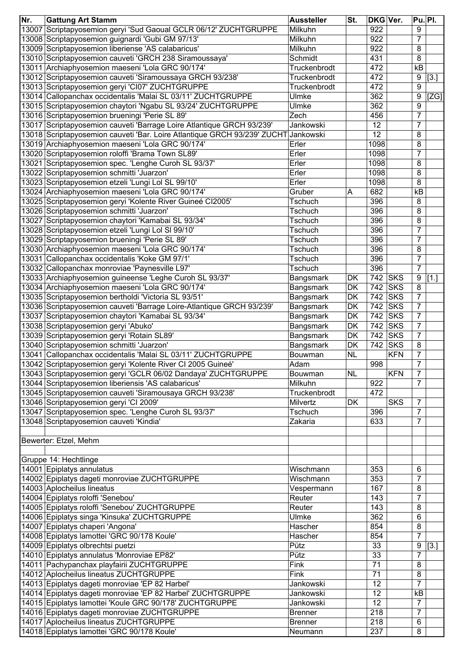| Nr.   | <b>Gattung Art Stamm</b>                                                 | <b>Aussteller</b> | St.       | <b>DKG Ver.</b> |            | <b>Pu. PI.</b> |      |
|-------|--------------------------------------------------------------------------|-------------------|-----------|-----------------|------------|----------------|------|
| 13007 | Scriptapyosemion geryi 'Sud Gaoual GCLR 06/12' ZUCHTGRUPPE               | Milkuhn           |           | 922             |            | 9              |      |
|       | 13008 Scriptapyosemion guignardi 'Gubi GM 97/13'                         | Milkuhn           |           | 922             |            | 7              |      |
|       | 13009 Scriptapyosemion liberiense 'AS calabaricus'                       | Milkuhn           |           | 922             |            | 8              |      |
|       | 13010 Scriptapyosemion cauveti 'GRCH 238 Siramoussaya'                   | Schmidt           |           | 431             |            | 8              |      |
|       | 13011 Archiaphyosemion maeseni 'Lola GRC 90/174'                         | Truckenbrodt      |           | 472             |            | kB             |      |
|       | 13012 Scriptapyosemion cauveti 'Siramoussaya GRCH 93/238'                | Truckenbrodt      |           | 472             |            | 9              | [3.] |
|       | 13013 Scriptapyosemion geryi 'CI07' ZUCHTGRUPPE                          | Truckenbrodt      |           | 472             |            | 9              |      |
|       | 13014 Callopanchax occidentalis 'Malai SL 03/11' ZUCHTGRUPPE             | Ulmke             |           | 362             |            | 9              | [ZG] |
|       | 13015 Scriptapyosemion chaytori 'Ngabu SL 93/24' ZUCHTGRUPPE             | Ulmke             |           | 362             |            | 9              |      |
|       | 13016 Scriptapyosemion brueningi 'Perie SL 89'                           | Zech              |           | 456             |            | $\overline{7}$ |      |
|       | 13017 Scriptapyosemion cauveti 'Barrage Loire Atlantique GRCH 93/239'    | Jankowski         |           | 12              |            | $\overline{7}$ |      |
|       | 13018 Scriptapyosemion cauveti 'Bar. Loire Atlantique GRCH 93/239' ZUCHT | Jankowski         |           | 12              |            | 8              |      |
|       | 13019 Archiaphyosemion maeseni 'Lola GRC 90/174'                         | Erler             |           | 1098            |            | 8              |      |
|       | 13020 Scriptapyosemion roloffi 'Brama Town SL89'                         | Erler             |           | 1098            |            | 7              |      |
|       |                                                                          | Erler             |           | 1098            |            | 8              |      |
|       | 13021 Scriptapyosemion spec. 'Lenghe Curoh SL 93/37'                     |                   |           | 1098            |            |                |      |
|       | 13022 Scriptapyosemion schmitti 'Juarzon'                                | Erler             |           |                 |            | 8              |      |
|       | 13023 Scriptapyosemion etzeli 'Lungi Lol SL 99/10'                       | Erler             |           | 1098            |            | 8              |      |
|       | 13024 Archiaphyosemion maeseni 'Lola GRC 90/174'                         | Gruber            | Α         | 682             |            | kB             |      |
|       | 13025 Scriptapyosemion geryi 'Kolente River Guineé CI2005'               | Tschuch           |           | 396             |            | 8              |      |
|       | 13026 Scriptapyosemion schmitti 'Juarzon'                                | Tschuch           |           | 396             |            | 8              |      |
|       | 13027 Scriptapyosemion chaytori 'Kamabai SL 93/34'                       | Tschuch           |           | 396             |            | 8              |      |
|       | 13028 Scriptapyosemion etzeli 'Lungi Lol SI 99/10'                       | Tschuch           |           | 396             |            | $\overline{7}$ |      |
|       | 13029 Scriptapyosemion brueningi 'Perie SL 89'                           | Tschuch           |           | 396             |            | $\overline{7}$ |      |
|       | 13030 Archiaphyosemion maeseni 'Lola GRC 90/174'                         | Tschuch           |           | 396             |            | 8              |      |
|       | 13031 Callopanchax occidentalis 'Koke GM 97/1'                           | Tschuch           |           | 396             |            | $\overline{7}$ |      |
|       | 13032 Callopanchax monroviae 'Paynesville L97'                           | Tschuch           |           | 396             |            | $\overline{7}$ |      |
|       | 13033 Archiaphyosemion guineense 'Leghe Curoh SL 93/37'                  | Bangsmark         | DK        | 742             | <b>SKS</b> | 9              | [1.] |
|       | 13034 Archiaphyosemion maeseni 'Lola GRC 90/174'                         | Bangsmark         | DK        | 742             | <b>SKS</b> | 8              |      |
|       | 13035 Scriptapyosemion bertholdi 'Victoria SL 93/51'                     | Bangsmark         | DK        | 742             | <b>SKS</b> | $\overline{7}$ |      |
|       | 13036 Scriptapyosemion cauveti 'Barrage Loire-Atlantique GRCH 93/239'    | Bangsmark         | DK        | 742             | <b>SKS</b> | $\overline{7}$ |      |
|       | 13037 Scriptapyosemion chaytori 'Kamabai SL 93/34'                       | Bangsmark         | DK        | 742             | <b>SKS</b> | 7              |      |
|       | 13038 Scriptapyosemion geryi 'Abuko'                                     | Bangsmark         | DK        | 742             | <b>SKS</b> | $\overline{7}$ |      |
|       | 13039 Scriptapyosemion geryi 'Rotain SL89'                               | Bangsmark         | DK        | 742             | <b>SKS</b> | $\overline{7}$ |      |
|       | 13040 Scriptapyosemion schmitti 'Juarzon'                                | Bangsmark         | DK        | 742             | <b>SKS</b> | 8              |      |
|       | 13041 Callopanchax occidentalis 'Malai SL 03/11' ZUCHTGRUPPE             | Bouwman           | <b>NL</b> |                 | <b>KFN</b> | 7              |      |
|       | 13042 Scriptapyosemion geryi 'Kolente River CI 2005 Guineé'              | Adam              |           | 998             |            | 7              |      |
|       | 13043 Scriptapyosemion geryi 'GCLR 06/02 Dandaya' ZUCHTGRUPPE            | Bouwman           | <b>NL</b> |                 | <b>KFN</b> | $\overline{7}$ |      |
|       | 13044 Scriptapyosemion liberiensis 'AS calabaricus'                      | Milkuhn           |           | 922             |            | $\overline{7}$ |      |
|       | 13045 Scriptapyosemion cauveti 'Siramousaya GRCH 93/238'                 | Truckenbrodt      |           | 472             |            |                |      |
|       | 13046 Scriptapyosemion geryi 'CI 2009'                                   | Milvertz          | <b>DK</b> |                 | <b>SKS</b> | $\overline{7}$ |      |
|       | 13047 Scriptapyosemion spec. 'Lenghe Curoh SL 93/37'                     | Tschuch           |           | 396             |            | $\overline{7}$ |      |
|       |                                                                          |                   |           |                 |            |                |      |
|       | 13048 Scriptapyosemion cauveti 'Kindia'                                  | Zakaria           |           | 633             |            | 7              |      |
|       |                                                                          |                   |           |                 |            |                |      |
|       | Bewerter: Etzel, Mehm                                                    |                   |           |                 |            |                |      |
|       |                                                                          |                   |           |                 |            |                |      |
|       | Gruppe 14: Hechtlinge                                                    |                   |           |                 |            |                |      |
|       | 14001 Epiplatys annulatus                                                | Wischmann         |           | 353             |            | 6              |      |
|       | 14002 Epiplatys dageti monroviae ZUCHTGRUPPE                             | Wischmann         |           | 353             |            | 7              |      |
|       | 14003 Aplocheilus lineatus                                               | Vespermann        |           | 167             |            | 8              |      |
|       | 14004 Epiplatys roloffi 'Senebou'                                        | Reuter            |           | 143             |            | 7              |      |
|       | 14005 Epiplatys roloffi 'Senebou' ZUCHTGRUPPE                            | Reuter            |           | 143             |            | 8              |      |
|       | 14006 Epiplatys singa 'Kinsuka' ZUCHTGRUPPE                              | Ulmke             |           | 362             |            | 6              |      |
|       | 14007 Epiplatys chaperi 'Angona'                                         | Hascher           |           | 854             |            | 8              |      |
|       | 14008 Epiplatys lamottei 'GRC 90/178 Koule'                              | Hascher           |           | 854             |            | $\overline{7}$ |      |
|       | 14009 Epiplatys olbrechtsi puetzi                                        | Pütz              |           | 33              |            | 9              | [3.] |
|       | 14010 Epiplatys annulatus 'Monroviae EP82'                               | Pütz              |           | 33              |            | $\overline{7}$ |      |
|       | 14011 Pachypanchax playfairii ZUCHTGRUPPE                                | Fink              |           | 71              |            | 8              |      |
|       | 14012 Aplocheilus lineatus ZUCHTGRUPPE                                   | Fink              |           | 71              |            | 8              |      |
|       | 14013 Epiplatys dageti monroviae 'EP 82 Harbel'                          | Jankowski         |           | 12              |            | 7              |      |
|       | 14014 Epiplatys dageti monroviae 'EP 82 Harbel' ZUCHTGRUPPE              | Jankowski         |           | 12              |            | kB             |      |
|       | 14015 Epiplatys lamottei 'Koule GRC 90/178' ZUCHTGRUPPE                  | Jankowski         |           | 12              |            | $\overline{7}$ |      |
|       | 14016 Epiplatys dageti monroviae ZUCHTGRUPPE                             | <b>Brenner</b>    |           | 218             |            | $\overline{7}$ |      |
|       | 14017 Aplocheilus lineatus ZUCHTGRUPPE                                   | <b>Brenner</b>    |           | 218             |            | 6              |      |
|       | 14018 Epiplatys lamottei 'GRC 90/178 Koule'                              | Neumann           |           | 237             |            | 8              |      |
|       |                                                                          |                   |           |                 |            |                |      |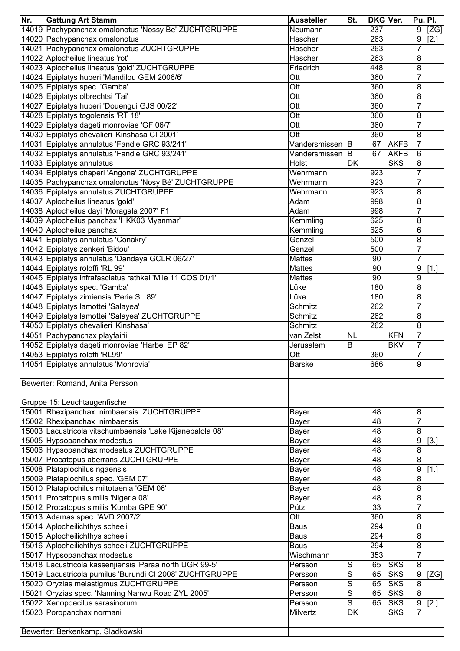| Nr. | <b>Gattung Art Stamm</b>                                  | <b>Aussteller</b> | St.       | DKG Ver. |             | Pu. Pl.        |        |
|-----|-----------------------------------------------------------|-------------------|-----------|----------|-------------|----------------|--------|
|     | 14019 Pachypanchax omalonotus 'Nossy Be' ZUCHTGRUPPE      | Neumann           |           | 237      |             | 9              | [ZG]   |
|     | 14020 Pachypanchax omalonotus                             | Hascher           |           | 263      |             | 9              | $[2.]$ |
|     | 14021 Pachypanchax omalonotus ZUCHTGRUPPE                 | Hascher           |           | 263      |             | $\overline{7}$ |        |
|     | 14022 Aplocheilus lineatus 'rot'                          | Hascher           |           | 263      |             | 8              |        |
|     | 14023 Aplocheilus lineatus 'gold' ZUCHTGRUPPE             | Friedrich         |           | 448      |             | 8              |        |
|     | 14024 Epiplatys huberi 'Mandilou GEM 2006/6'              | Ott               |           | 360      |             | $\overline{7}$ |        |
|     | 14025 Epiplatys spec. 'Gamba'                             | Ott               |           | 360      |             | 8              |        |
|     | 14026 Epiplatys olbrechtsi 'Tai'                          | Ott               |           | 360      |             | 8              |        |
|     | 14027 Epiplatys huberi 'Douengui GJS 00/22'               | Ott               |           | 360      |             | 7              |        |
|     | 14028 Epiplatys togolensis 'RT 18'                        | Ott               |           | 360      |             | 8              |        |
|     | 14029 Epiplatys dageti monroviae 'GF 06/7'                | Ott               |           | 360      |             | 7              |        |
|     | 14030 Epiplatys chevalieri 'Kinshasa CI 2001'             | Ott               |           | 360      |             | 8              |        |
|     | 14031 Epiplatys annulatus 'Fandie GRC 93/241'             | Vandersmissen B   |           | 67       | <b>AKFB</b> | 7              |        |
|     | 14032 Epiplatys annulatus 'Fandie GRC 93/241'             | Vandersmissen B   |           | 67       | <b>AKFB</b> | 6              |        |
|     | 14033 Epiplatys annulatus                                 | Holst             | DK        |          | <b>SKS</b>  | 8              |        |
|     | 14034 Epiplatys chaperi 'Angona' ZUCHTGRUPPE              | Wehrmann          |           | 923      |             | $\overline{7}$ |        |
|     | 14035 Pachypanchax omalonotus 'Nosy Bé' ZUCHTGRUPPE       | Wehrmann          |           | 923      |             | $\overline{7}$ |        |
|     | 14036 Epiplatys annulatus ZUCHTGRUPPE                     | Wehrmann          |           | 923      |             | 8              |        |
|     | 14037 Aplocheilus lineatus 'gold'                         | Adam              |           | 998      |             | 8              |        |
|     | 14038 Aplocheilus dayi 'Moragala 2007' F1                 | Adam              |           | 998      |             | $\overline{7}$ |        |
|     | 14039 Aplocheilus panchax 'HKK03 Myanmar'                 | Kemmling          |           | 625      |             | 8              |        |
|     | 14040 Aplocheilus panchax                                 | Kemmling          |           | 625      |             | 6              |        |
|     | 14041 Epiplatys annulatus 'Conakry'                       | Genzel            |           | 500      |             | 8              |        |
|     | 14042 Epiplatys zenkeri 'Bidou'                           | Genzel            |           | 500      |             | $\overline{7}$ |        |
|     | 14043 Epiplatys annulatus 'Dandaya GCLR 06/27'            | <b>Mattes</b>     |           | 90       |             | $\overline{7}$ |        |
|     | 14044 Epiplatys roloffi 'RL 99'                           | <b>Mattes</b>     |           | 90       |             | 9              | [1.]   |
|     | 14045 Epiplatys infrafasciatus rathkei 'Mile 11 COS 01/1' | <b>Mattes</b>     |           | 90       |             | 9              |        |
|     | 14046 Epiplatys spec. 'Gamba'                             | Lüke              |           | 180      |             | 8              |        |
|     | 14047 Epiplatys zimiensis 'Perie SL 89'                   | Lüke              |           | 180      |             | 8              |        |
|     | 14048 Epiplatys lamottei 'Salayea'                        | Schmitz           |           | 262      |             | $\overline{7}$ |        |
|     | 14049 Epiplatys lamottei 'Salayea' ZUCHTGRUPPE            | Schmitz           |           | 262      |             | 8              |        |
|     | 14050 Epiplatys chevalieri 'Kinshasa'                     | Schmitz           |           | 262      |             | 8              |        |
|     | 14051 Pachypanchax playfairii                             | van Zelst         | <b>NL</b> |          | <b>KFN</b>  | $\overline{7}$ |        |
|     | 14052 Epiplatys dageti monroviae 'Harbel EP 82'           | Jerusalem         | B         |          | <b>BKV</b>  | $\overline{7}$ |        |
|     | 14053 Epiplatys roloffi 'RL99'                            | Ott               |           | 360      |             | $\overline{7}$ |        |
|     | 14054 Epiplatys annulatus 'Monrovia'                      | <b>Barske</b>     |           | 686      |             | $\overline{9}$ |        |
|     |                                                           |                   |           |          |             |                |        |
|     | Bewerter: Romand, Anita Persson                           |                   |           |          |             |                |        |
|     |                                                           |                   |           |          |             |                |        |
|     | Gruppe 15: Leuchtaugenfische                              |                   |           |          |             |                |        |
|     | 15001 Rhexipanchax nimbaensis ZUCHTGRUPPE                 | <b>Bayer</b>      |           | 48       |             | 8              |        |
|     | 15002 Rhexipanchax nimbaensis                             | <b>Bayer</b>      |           | 48       |             | 7              |        |
|     | 15003 Lacustricola vitschumbaensis 'Lake Kijanebalola 08' | Bayer             |           | 48       |             | 8              |        |
|     | 15005 Hypsopanchax modestus                               | <b>Bayer</b>      |           | 48       |             | 9              | $[3.]$ |
|     | 15006 Hypsopanchax modestus ZUCHTGRUPPE                   | <b>Bayer</b>      |           | 48       |             | 8              |        |
|     | 15007 Procatopus aberrans ZUCHTGRUPPE                     | <b>Bayer</b>      |           | 48       |             | 8              |        |
|     | 15008 Plataplochilus ngaensis                             | <b>Bayer</b>      |           | 48       |             | 9              | $[1.]$ |
|     | 15009 Plataplochilus spec. 'GEM 07'                       | <b>Bayer</b>      |           | 48       |             | 8              |        |
|     | 15010 Plataplochilus miltotaenia 'GEM 06'                 | <b>Bayer</b>      |           | 48       |             | 8              |        |
|     | 15011 Procatopus similis 'Nigeria 08'                     | <b>Bayer</b>      |           | 48       |             | 8              |        |
|     | 15012 Procatopus similis 'Kumba GPE 90'                   | Pütz              |           | 33       |             | $\overline{7}$ |        |
|     | 15013 Adamas spec. 'AVD 2007/2'                           | Ott               |           | 360      |             | 8              |        |
|     | 15014 Aplocheilichthys scheeli                            | <b>Baus</b>       |           | 294      |             | $\bf 8$        |        |
|     | 15015 Aplocheilichthys scheeli                            | <b>Baus</b>       |           | 294      |             | 8              |        |
|     | 15016 Aplocheilichthys scheeli ZUCHTGRUPPE                | <b>Baus</b>       |           | 294      |             | $\, 8$         |        |
|     | 15017 Hypsopanchax modestus                               | Wischmann         |           | 353      |             | $\overline{7}$ |        |
|     | 15018 Lacustricola kassenjiensis 'Paraa north UGR 99-5'   | Persson           | S         | 65       | <b>SKS</b>  | 8              |        |
|     | 15019 Lacustricola pumilus 'Burundi CI 2008' ZUCHTGRUPPE  | Persson           | S         | 65       | <b>SKS</b>  | 9              | [ZG]   |
|     | 15020 Oryzias melastigmus ZUCHTGRUPPE                     | Persson           | S         | 65       | <b>SKS</b>  | $\, 8$         |        |
|     | 15021 Oryzias spec. 'Nanning Nanwu Road ZYL 2005'         | Persson           | S         | 65       | <b>SKS</b>  | 8              |        |
|     | 15022 Xenopoecilus sarasinorum                            | Persson           | S         | 65       | <b>SKS</b>  | 9              | [2.]   |
|     | 15023 Poropanchax normani                                 | Milvertz          | <b>DK</b> |          | <b>SKS</b>  | $\overline{7}$ |        |
|     |                                                           |                   |           |          |             |                |        |
|     | Bewerter: Berkenkamp, Sladkowski                          |                   |           |          |             |                |        |
|     |                                                           |                   |           |          |             |                |        |